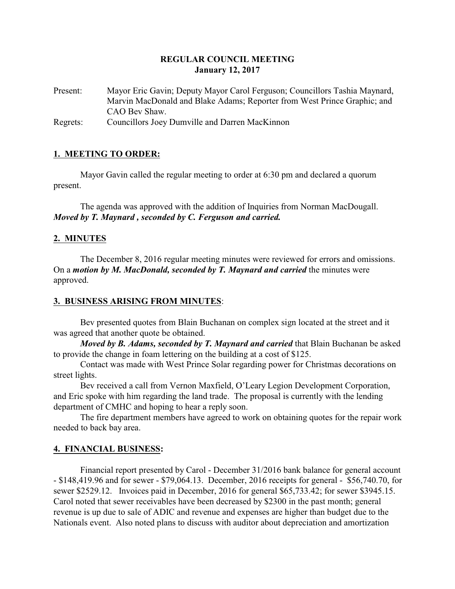## **REGULAR COUNCIL MEETING January 12, 2017**

Present: Mayor Eric Gavin; Deputy Mayor Carol Ferguson; Councillors Tashia Maynard, Marvin MacDonald and Blake Adams; Reporter from West Prince Graphic; and CAO Bev Shaw.

Regrets: Councillors Joey Dumville and Darren MacKinnon

# **1. MEETING TO ORDER:**

Mayor Gavin called the regular meeting to order at 6:30 pm and declared a quorum present.

The agenda was approved with the addition of Inquiries from Norman MacDougall. *Moved by T. Maynard , seconded by C. Ferguson and carried.*

## **2. MINUTES**

The December 8, 2016 regular meeting minutes were reviewed for errors and omissions. On a *motion by M. MacDonald, seconded by T. Maynard and carried* the minutes were approved.

### **3. BUSINESS ARISING FROM MINUTES**:

Bev presented quotes from Blain Buchanan on complex sign located at the street and it was agreed that another quote be obtained.

*Moved by B. Adams, seconded by T. Maynard and carried* that Blain Buchanan be asked to provide the change in foam lettering on the building at a cost of \$125.

Contact was made with West Prince Solar regarding power for Christmas decorations on street lights.

Bev received a call from Vernon Maxfield, O'Leary Legion Development Corporation, and Eric spoke with him regarding the land trade. The proposal is currently with the lending department of CMHC and hoping to hear a reply soon.

The fire department members have agreed to work on obtaining quotes for the repair work needed to back bay area.

# **4. FINANCIAL BUSINESS:**

Financial report presented by Carol - December 31/2016 bank balance for general account - \$148,419.96 and for sewer - \$79,064.13. December, 2016 receipts for general - \$56,740.70, for sewer \$2529.12. Invoices paid in December, 2016 for general \$65,733.42; for sewer \$3945.15. Carol noted that sewer receivables have been decreased by \$2300 in the past month; general revenue is up due to sale of ADIC and revenue and expenses are higher than budget due to the Nationals event. Also noted plans to discuss with auditor about depreciation and amortization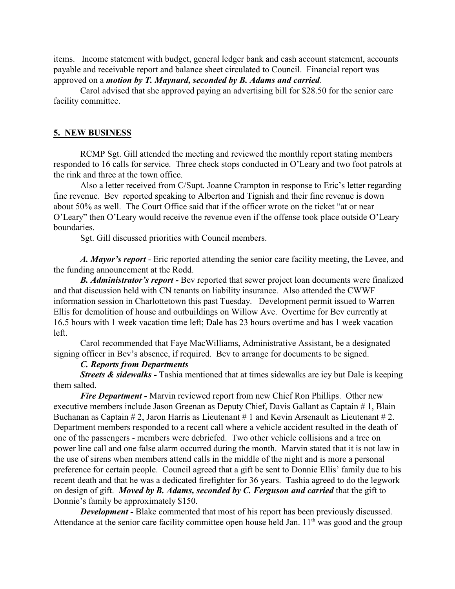items. Income statement with budget, general ledger bank and cash account statement, accounts payable and receivable report and balance sheet circulated to Council. Financial report was approved on a *motion by T. Maynard, seconded by B. Adams and carried*.

Carol advised that she approved paying an advertising bill for \$28.50 for the senior care facility committee.

#### **5. NEW BUSINESS**

RCMP Sgt. Gill attended the meeting and reviewed the monthly report stating members responded to 16 calls for service. Three check stops conducted in O'Leary and two foot patrols at the rink and three at the town office.

Also a letter received from C/Supt. Joanne Crampton in response to Eric's letter regarding fine revenue. Bev reported speaking to Alberton and Tignish and their fine revenue is down about 50% as well. The Court Office said that if the officer wrote on the ticket "at or near O'Leary" then O'Leary would receive the revenue even if the offense took place outside O'Leary boundaries.

Sgt. Gill discussed priorities with Council members.

*A. Mayor's report* - Eric reported attending the senior care facility meeting, the Levee, and the funding announcement at the Rodd.

*B. Administrator's report -* Bev reported that sewer project loan documents were finalized and that discussion held with CN tenants on liability insurance. Also attended the CWWF information session in Charlottetown this past Tuesday. Development permit issued to Warren Ellis for demolition of house and outbuildings on Willow Ave. Overtime for Bev currently at 16.5 hours with 1 week vacation time left; Dale has 23 hours overtime and has 1 week vacation left.

Carol recommended that Faye MacWilliams, Administrative Assistant, be a designated signing officer in Bev's absence, if required. Bev to arrange for documents to be signed.

### *C. Reports from Departments*

*Streets & sidewalks* - Tashia mentioned that at times sidewalks are icy but Dale is keeping them salted.

*Fire Department -* Marvin reviewed report from new Chief Ron Phillips. Other new executive members include Jason Greenan as Deputy Chief, Davis Gallant as Captain # 1, Blain Buchanan as Captain  $# 2$ , Jaron Harris as Lieutenant  $# 1$  and Kevin Arsenault as Lieutenant  $# 2$ . Department members responded to a recent call where a vehicle accident resulted in the death of one of the passengers - members were debriefed. Two other vehicle collisions and a tree on power line call and one false alarm occurred during the month. Marvin stated that it is not law in the use of sirens when members attend calls in the middle of the night and is more a personal preference for certain people. Council agreed that a gift be sent to Donnie Ellis' family due to his recent death and that he was a dedicated firefighter for 36 years. Tashia agreed to do the legwork on design of gift. *Moved by B. Adams, seconded by C. Ferguson and carried* that the gift to Donnie's family be approximately \$150.

*Development* - Blake commented that most of his report has been previously discussed. Attendance at the senior care facility committee open house held Jan. 11<sup>th</sup> was good and the group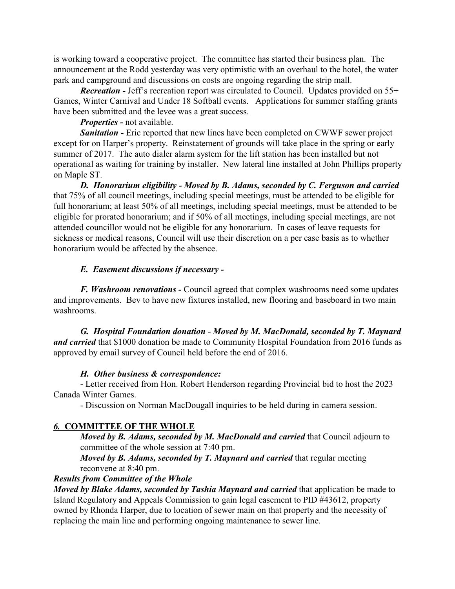is working toward a cooperative project. The committee has started their business plan. The announcement at the Rodd yesterday was very optimistic with an overhaul to the hotel, the water park and campground and discussions on costs are ongoing regarding the strip mall.

*Recreation -* Jeff's recreation report was circulated to Council. Updates provided on 55+ Games, Winter Carnival and Under 18 Softball events. Applications for summer staffing grants have been submitted and the levee was a great success.

*Properties -* not available.

**Sanitation -** Eric reported that new lines have been completed on CWWF sewer project except for on Harper's property. Reinstatement of grounds will take place in the spring or early summer of 2017. The auto dialer alarm system for the lift station has been installed but not operational as waiting for training by installer. New lateral line installed at John Phillips property on Maple ST.

*D. Honorarium eligibility - Moved by B. Adams, seconded by C. Ferguson and carried* that 75% of all council meetings, including special meetings, must be attended to be eligible for full honorarium; at least 50% of all meetings, including special meetings, must be attended to be eligible for prorated honorarium; and if 50% of all meetings, including special meetings, are not attended councillor would not be eligible for any honorarium. In cases of leave requests for sickness or medical reasons, Council will use their discretion on a per case basis as to whether honorarium would be affected by the absence.

### *E. Easement discussions if necessary -*

*F. Washroom renovations -* Council agreed that complex washrooms need some updates and improvements. Bev to have new fixtures installed, new flooring and baseboard in two main washrooms.

*G. Hospital Foundation donation* - *Moved by M. MacDonald, seconded by T. Maynard and carried* that \$1000 donation be made to Community Hospital Foundation from 2016 funds as approved by email survey of Council held before the end of 2016.

#### *H. Other business & correspondence:*

- Letter received from Hon. Robert Henderson regarding Provincial bid to host the 2023 Canada Winter Games.

- Discussion on Norman MacDougall inquiries to be held during in camera session.

### *6.* **COMMITTEE OF THE WHOLE**

*Moved by B. Adams, seconded by M. MacDonald and carried* that Council adjourn to committee of the whole session at 7:40 pm.

*Moved by B. Adams, seconded by T. Maynard and carried* that regular meeting reconvene at 8:40 pm.

# *Results from Committee of the Whole*

*Moved by Blake Adams, seconded by Tashia Maynard and carried that application be made to* Island Regulatory and Appeals Commission to gain legal easement to PID #43612, property owned by Rhonda Harper, due to location of sewer main on that property and the necessity of replacing the main line and performing ongoing maintenance to sewer line.